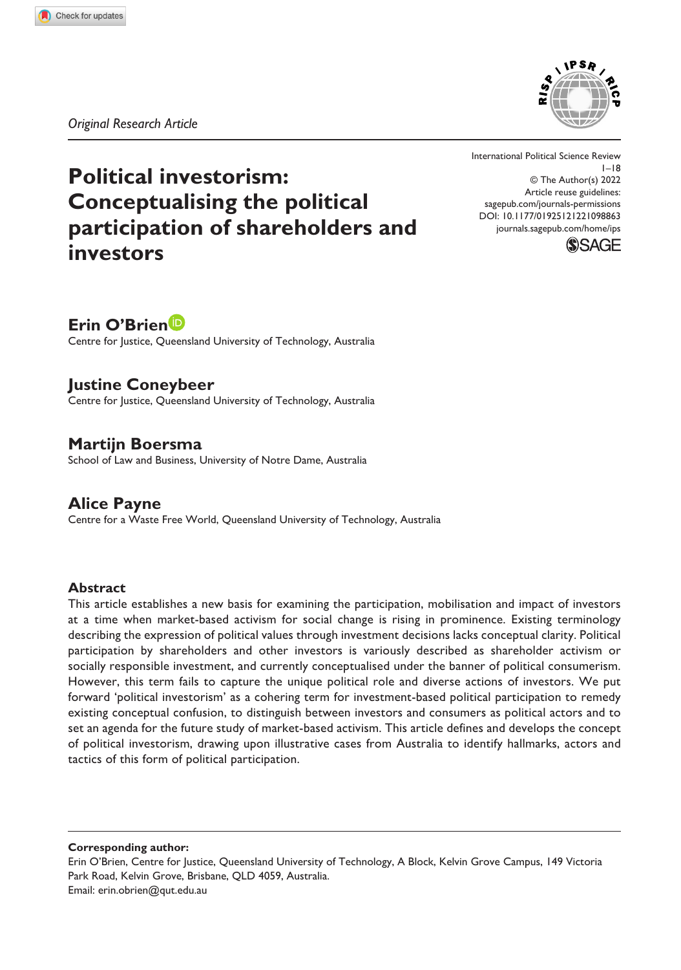*Original Research Article*



# **Political investorism: Conceptualising the political participation of shareholders and investors**

DOI: 10.1177/01925121221098863 International Political Science Review 1–18 © The Author(s) 2022 Article reuse guidelines: [sagepub.com/journals-permissions](https://uk.sagepub.com/en-gb/journals-permissions) [journals.sagepub.com/home/ips](https://journals.sagepub.com/home/ips)



# **Erin O'Brien**

Centre for Justice, Queensland University of Technology, Australia

**Justine Coneybeer** Centre for Justice, Queensland University of Technology, Australia

**Martijn Boersma** School of Law and Business, University of Notre Dame, Australia

**Alice Payne** Centre for a Waste Free World, Queensland University of Technology, Australia

#### **Abstract**

This article establishes a new basis for examining the participation, mobilisation and impact of investors at a time when market-based activism for social change is rising in prominence. Existing terminology describing the expression of political values through investment decisions lacks conceptual clarity. Political participation by shareholders and other investors is variously described as shareholder activism or socially responsible investment, and currently conceptualised under the banner of political consumerism. However, this term fails to capture the unique political role and diverse actions of investors. We put forward 'political investorism' as a cohering term for investment-based political participation to remedy existing conceptual confusion, to distinguish between investors and consumers as political actors and to set an agenda for the future study of market-based activism. This article defines and develops the concept of political investorism, drawing upon illustrative cases from Australia to identify hallmarks, actors and tactics of this form of political participation.

**Corresponding author:**

Erin O'Brien, Centre for Justice, Queensland University of Technology, A Block, Kelvin Grove Campus, 149 Victoria Park Road, Kelvin Grove, Brisbane, QLD 4059, Australia. Email: [erin.obrien@qut.edu.au](mailto:erin.obrien@qut.edu.au)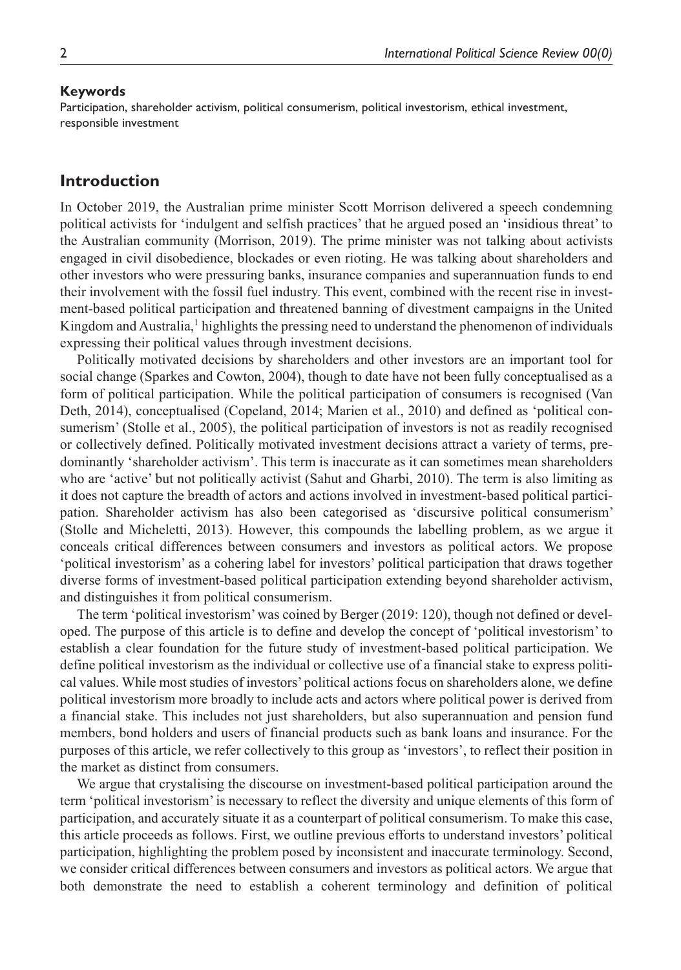#### **Keywords**

Participation, shareholder activism, political consumerism, political investorism, ethical investment, responsible investment

# **Introduction**

In October 2019, the Australian prime minister Scott Morrison delivered a speech condemning political activists for 'indulgent and selfish practices' that he argued posed an 'insidious threat' to the Australian community (Morrison, 2019). The prime minister was not talking about activists engaged in civil disobedience, blockades or even rioting. He was talking about shareholders and other investors who were pressuring banks, insurance companies and superannuation funds to end their involvement with the fossil fuel industry. This event, combined with the recent rise in investment-based political participation and threatened banning of divestment campaigns in the United Kingdom and Australia,<sup>1</sup> highlights the pressing need to understand the phenomenon of individuals expressing their political values through investment decisions.

Politically motivated decisions by shareholders and other investors are an important tool for social change (Sparkes and Cowton, 2004), though to date have not been fully conceptualised as a form of political participation. While the political participation of consumers is recognised (Van Deth, 2014), conceptualised (Copeland, 2014; Marien et al., 2010) and defined as 'political consumerism' (Stolle et al., 2005), the political participation of investors is not as readily recognised or collectively defined. Politically motivated investment decisions attract a variety of terms, predominantly 'shareholder activism'. This term is inaccurate as it can sometimes mean shareholders who are 'active' but not politically activist (Sahut and Gharbi, 2010). The term is also limiting as it does not capture the breadth of actors and actions involved in investment-based political participation. Shareholder activism has also been categorised as 'discursive political consumerism' (Stolle and Micheletti, 2013). However, this compounds the labelling problem, as we argue it conceals critical differences between consumers and investors as political actors. We propose 'political investorism' as a cohering label for investors' political participation that draws together diverse forms of investment-based political participation extending beyond shareholder activism, and distinguishes it from political consumerism.

The term 'political investorism' was coined by Berger (2019: 120), though not defined or developed. The purpose of this article is to define and develop the concept of 'political investorism' to establish a clear foundation for the future study of investment-based political participation. We define political investorism as the individual or collective use of a financial stake to express political values. While most studies of investors' political actions focus on shareholders alone, we define political investorism more broadly to include acts and actors where political power is derived from a financial stake. This includes not just shareholders, but also superannuation and pension fund members, bond holders and users of financial products such as bank loans and insurance. For the purposes of this article, we refer collectively to this group as 'investors', to reflect their position in the market as distinct from consumers.

We argue that crystalising the discourse on investment-based political participation around the term 'political investorism' is necessary to reflect the diversity and unique elements of this form of participation, and accurately situate it as a counterpart of political consumerism. To make this case, this article proceeds as follows. First, we outline previous efforts to understand investors' political participation, highlighting the problem posed by inconsistent and inaccurate terminology. Second, we consider critical differences between consumers and investors as political actors. We argue that both demonstrate the need to establish a coherent terminology and definition of political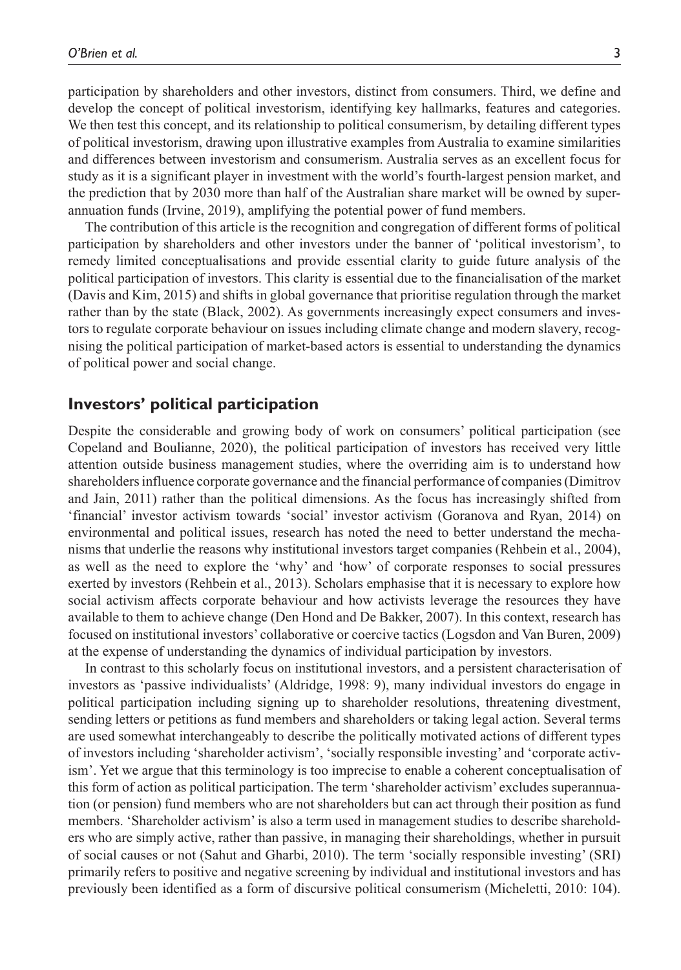participation by shareholders and other investors, distinct from consumers. Third, we define and develop the concept of political investorism, identifying key hallmarks, features and categories. We then test this concept, and its relationship to political consumerism, by detailing different types of political investorism, drawing upon illustrative examples from Australia to examine similarities and differences between investorism and consumerism. Australia serves as an excellent focus for study as it is a significant player in investment with the world's fourth-largest pension market, and the prediction that by 2030 more than half of the Australian share market will be owned by superannuation funds (Irvine, 2019), amplifying the potential power of fund members.

The contribution of this article is the recognition and congregation of different forms of political participation by shareholders and other investors under the banner of 'political investorism', to remedy limited conceptualisations and provide essential clarity to guide future analysis of the political participation of investors. This clarity is essential due to the financialisation of the market (Davis and Kim, 2015) and shifts in global governance that prioritise regulation through the market rather than by the state (Black, 2002). As governments increasingly expect consumers and investors to regulate corporate behaviour on issues including climate change and modern slavery, recognising the political participation of market-based actors is essential to understanding the dynamics of political power and social change.

## **Investors' political participation**

Despite the considerable and growing body of work on consumers' political participation (see Copeland and Boulianne, 2020), the political participation of investors has received very little attention outside business management studies, where the overriding aim is to understand how shareholders influence corporate governance and the financial performance of companies (Dimitrov and Jain, 2011) rather than the political dimensions. As the focus has increasingly shifted from 'financial' investor activism towards 'social' investor activism (Goranova and Ryan, 2014) on environmental and political issues, research has noted the need to better understand the mechanisms that underlie the reasons why institutional investors target companies (Rehbein et al., 2004), as well as the need to explore the 'why' and 'how' of corporate responses to social pressures exerted by investors (Rehbein et al., 2013). Scholars emphasise that it is necessary to explore how social activism affects corporate behaviour and how activists leverage the resources they have available to them to achieve change (Den Hond and De Bakker, 2007). In this context, research has focused on institutional investors' collaborative or coercive tactics (Logsdon and Van Buren, 2009) at the expense of understanding the dynamics of individual participation by investors.

In contrast to this scholarly focus on institutional investors, and a persistent characterisation of investors as 'passive individualists' (Aldridge, 1998: 9), many individual investors do engage in political participation including signing up to shareholder resolutions, threatening divestment, sending letters or petitions as fund members and shareholders or taking legal action. Several terms are used somewhat interchangeably to describe the politically motivated actions of different types of investors including 'shareholder activism', 'socially responsible investing' and 'corporate activism'. Yet we argue that this terminology is too imprecise to enable a coherent conceptualisation of this form of action as political participation. The term 'shareholder activism' excludes superannuation (or pension) fund members who are not shareholders but can act through their position as fund members. 'Shareholder activism' is also a term used in management studies to describe shareholders who are simply active, rather than passive, in managing their shareholdings, whether in pursuit of social causes or not (Sahut and Gharbi, 2010). The term 'socially responsible investing' (SRI) primarily refers to positive and negative screening by individual and institutional investors and has previously been identified as a form of discursive political consumerism (Micheletti, 2010: 104).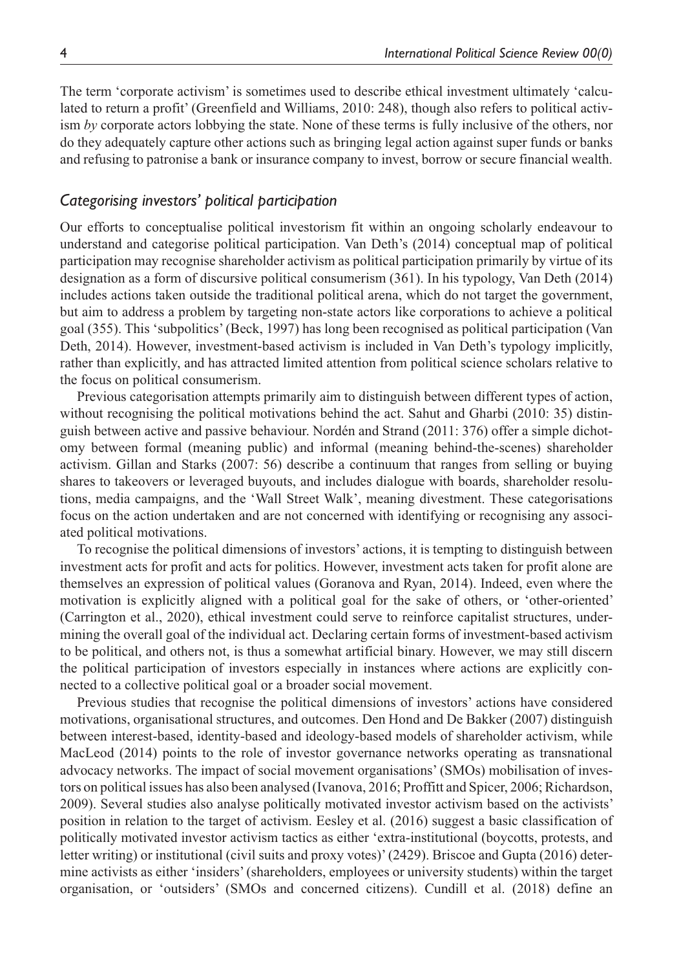The term 'corporate activism' is sometimes used to describe ethical investment ultimately 'calculated to return a profit' (Greenfield and Williams, 2010: 248), though also refers to political activism *by* corporate actors lobbying the state. None of these terms is fully inclusive of the others, nor do they adequately capture other actions such as bringing legal action against super funds or banks and refusing to patronise a bank or insurance company to invest, borrow or secure financial wealth.

# *Categorising investors' political participation*

Our efforts to conceptualise political investorism fit within an ongoing scholarly endeavour to understand and categorise political participation. Van Deth's (2014) conceptual map of political participation may recognise shareholder activism as political participation primarily by virtue of its designation as a form of discursive political consumerism (361). In his typology, Van Deth (2014) includes actions taken outside the traditional political arena, which do not target the government, but aim to address a problem by targeting non-state actors like corporations to achieve a political goal (355). This 'subpolitics' (Beck, 1997) has long been recognised as political participation (Van Deth, 2014). However, investment-based activism is included in Van Deth's typology implicitly, rather than explicitly, and has attracted limited attention from political science scholars relative to the focus on political consumerism.

Previous categorisation attempts primarily aim to distinguish between different types of action, without recognising the political motivations behind the act. Sahut and Gharbi (2010: 35) distinguish between active and passive behaviour. Nordén and Strand (2011: 376) offer a simple dichotomy between formal (meaning public) and informal (meaning behind-the-scenes) shareholder activism. Gillan and Starks (2007: 56) describe a continuum that ranges from selling or buying shares to takeovers or leveraged buyouts, and includes dialogue with boards, shareholder resolutions, media campaigns, and the 'Wall Street Walk', meaning divestment. These categorisations focus on the action undertaken and are not concerned with identifying or recognising any associated political motivations.

To recognise the political dimensions of investors' actions, it is tempting to distinguish between investment acts for profit and acts for politics. However, investment acts taken for profit alone are themselves an expression of political values (Goranova and Ryan, 2014). Indeed, even where the motivation is explicitly aligned with a political goal for the sake of others, or 'other-oriented' (Carrington et al., 2020), ethical investment could serve to reinforce capitalist structures, undermining the overall goal of the individual act. Declaring certain forms of investment-based activism to be political, and others not, is thus a somewhat artificial binary. However, we may still discern the political participation of investors especially in instances where actions are explicitly connected to a collective political goal or a broader social movement.

Previous studies that recognise the political dimensions of investors' actions have considered motivations, organisational structures, and outcomes. Den Hond and De Bakker (2007) distinguish between interest-based, identity-based and ideology-based models of shareholder activism, while MacLeod (2014) points to the role of investor governance networks operating as transnational advocacy networks. The impact of social movement organisations' (SMOs) mobilisation of investors on political issues has also been analysed (Ivanova, 2016; Proffitt and Spicer, 2006; Richardson, 2009). Several studies also analyse politically motivated investor activism based on the activists' position in relation to the target of activism. Eesley et al. (2016) suggest a basic classification of politically motivated investor activism tactics as either 'extra-institutional (boycotts, protests, and letter writing) or institutional (civil suits and proxy votes)' (2429). Briscoe and Gupta (2016) determine activists as either 'insiders' (shareholders, employees or university students) within the target organisation, or 'outsiders' (SMOs and concerned citizens). Cundill et al. (2018) define an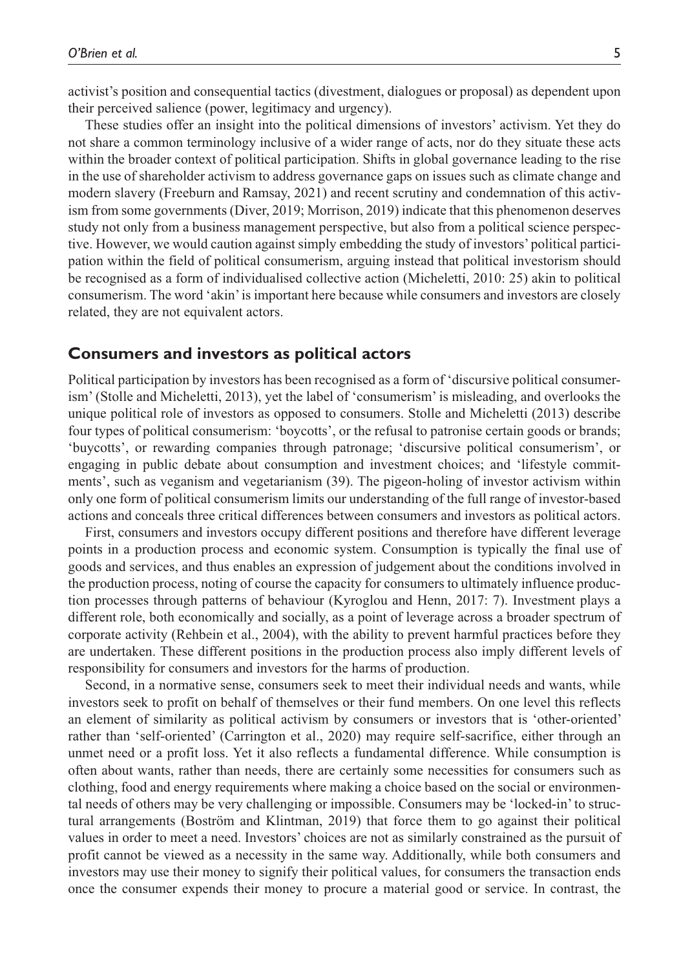activist's position and consequential tactics (divestment, dialogues or proposal) as dependent upon their perceived salience (power, legitimacy and urgency).

These studies offer an insight into the political dimensions of investors' activism. Yet they do not share a common terminology inclusive of a wider range of acts, nor do they situate these acts within the broader context of political participation. Shifts in global governance leading to the rise in the use of shareholder activism to address governance gaps on issues such as climate change and modern slavery (Freeburn and Ramsay, 2021) and recent scrutiny and condemnation of this activism from some governments (Diver, 2019; Morrison, 2019) indicate that this phenomenon deserves study not only from a business management perspective, but also from a political science perspective. However, we would caution against simply embedding the study of investors' political participation within the field of political consumerism, arguing instead that political investorism should be recognised as a form of individualised collective action (Micheletti, 2010: 25) akin to political consumerism. The word 'akin' is important here because while consumers and investors are closely related, they are not equivalent actors.

## **Consumers and investors as political actors**

Political participation by investors has been recognised as a form of 'discursive political consumerism' (Stolle and Micheletti, 2013), yet the label of 'consumerism' is misleading, and overlooks the unique political role of investors as opposed to consumers. Stolle and Micheletti (2013) describe four types of political consumerism: 'boycotts', or the refusal to patronise certain goods or brands; 'buycotts', or rewarding companies through patronage; 'discursive political consumerism', or engaging in public debate about consumption and investment choices; and 'lifestyle commitments', such as veganism and vegetarianism (39). The pigeon-holing of investor activism within only one form of political consumerism limits our understanding of the full range of investor-based actions and conceals three critical differences between consumers and investors as political actors.

First, consumers and investors occupy different positions and therefore have different leverage points in a production process and economic system. Consumption is typically the final use of goods and services, and thus enables an expression of judgement about the conditions involved in the production process, noting of course the capacity for consumers to ultimately influence production processes through patterns of behaviour (Kyroglou and Henn, 2017: 7). Investment plays a different role, both economically and socially, as a point of leverage across a broader spectrum of corporate activity (Rehbein et al., 2004), with the ability to prevent harmful practices before they are undertaken. These different positions in the production process also imply different levels of responsibility for consumers and investors for the harms of production.

Second, in a normative sense, consumers seek to meet their individual needs and wants, while investors seek to profit on behalf of themselves or their fund members. On one level this reflects an element of similarity as political activism by consumers or investors that is 'other-oriented' rather than 'self-oriented' (Carrington et al., 2020) may require self-sacrifice, either through an unmet need or a profit loss. Yet it also reflects a fundamental difference. While consumption is often about wants, rather than needs, there are certainly some necessities for consumers such as clothing, food and energy requirements where making a choice based on the social or environmental needs of others may be very challenging or impossible. Consumers may be 'locked-in' to structural arrangements (Boström and Klintman, 2019) that force them to go against their political values in order to meet a need. Investors' choices are not as similarly constrained as the pursuit of profit cannot be viewed as a necessity in the same way. Additionally, while both consumers and investors may use their money to signify their political values, for consumers the transaction ends once the consumer expends their money to procure a material good or service. In contrast, the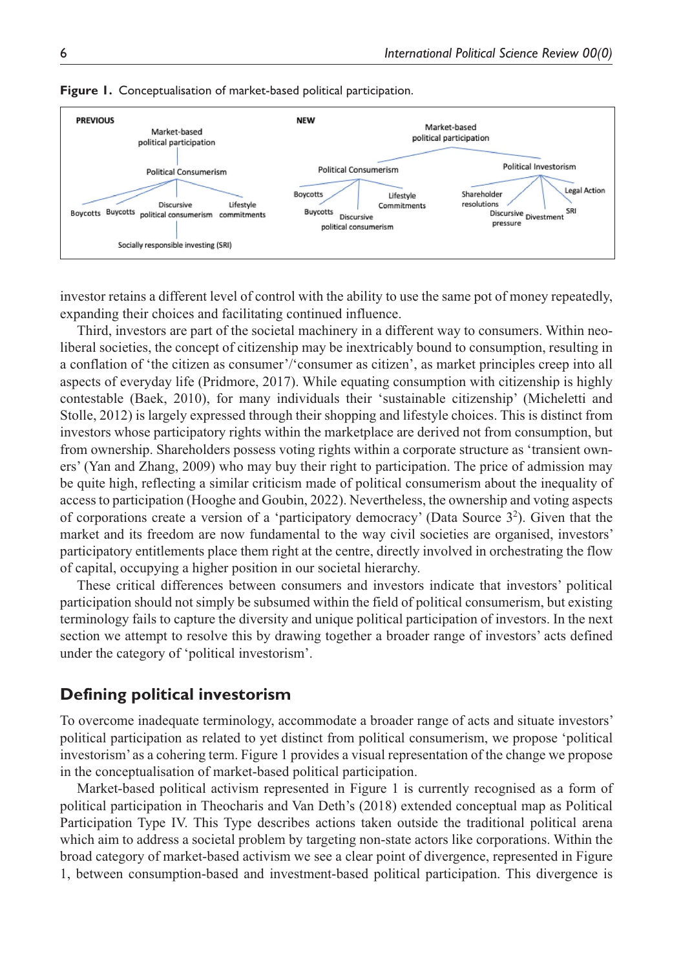

#### **Figure 1.** Conceptualisation of market-based political participation.

investor retains a different level of control with the ability to use the same pot of money repeatedly, expanding their choices and facilitating continued influence.

Third, investors are part of the societal machinery in a different way to consumers. Within neoliberal societies, the concept of citizenship may be inextricably bound to consumption, resulting in a conflation of 'the citizen as consumer'/'consumer as citizen', as market principles creep into all aspects of everyday life (Pridmore, 2017). While equating consumption with citizenship is highly contestable (Baek, 2010), for many individuals their 'sustainable citizenship' (Micheletti and Stolle, 2012) is largely expressed through their shopping and lifestyle choices. This is distinct from investors whose participatory rights within the marketplace are derived not from consumption, but from ownership. Shareholders possess voting rights within a corporate structure as 'transient owners' (Yan and Zhang, 2009) who may buy their right to participation. The price of admission may be quite high, reflecting a similar criticism made of political consumerism about the inequality of access to participation (Hooghe and Goubin, 2022). Nevertheless, the ownership and voting aspects of corporations create a version of a 'participatory democracy' (Data Source 32 ). Given that the market and its freedom are now fundamental to the way civil societies are organised, investors' participatory entitlements place them right at the centre, directly involved in orchestrating the flow of capital, occupying a higher position in our societal hierarchy.

These critical differences between consumers and investors indicate that investors' political participation should not simply be subsumed within the field of political consumerism, but existing terminology fails to capture the diversity and unique political participation of investors. In the next section we attempt to resolve this by drawing together a broader range of investors' acts defined under the category of 'political investorism'.

## **Defining political investorism**

To overcome inadequate terminology, accommodate a broader range of acts and situate investors' political participation as related to yet distinct from political consumerism, we propose 'political investorism' as a cohering term. Figure 1 provides a visual representation of the change we propose in the conceptualisation of market-based political participation.

Market-based political activism represented in Figure 1 is currently recognised as a form of political participation in Theocharis and Van Deth's (2018) extended conceptual map as Political Participation Type IV. This Type describes actions taken outside the traditional political arena which aim to address a societal problem by targeting non-state actors like corporations. Within the broad category of market-based activism we see a clear point of divergence, represented in Figure 1, between consumption-based and investment-based political participation. This divergence is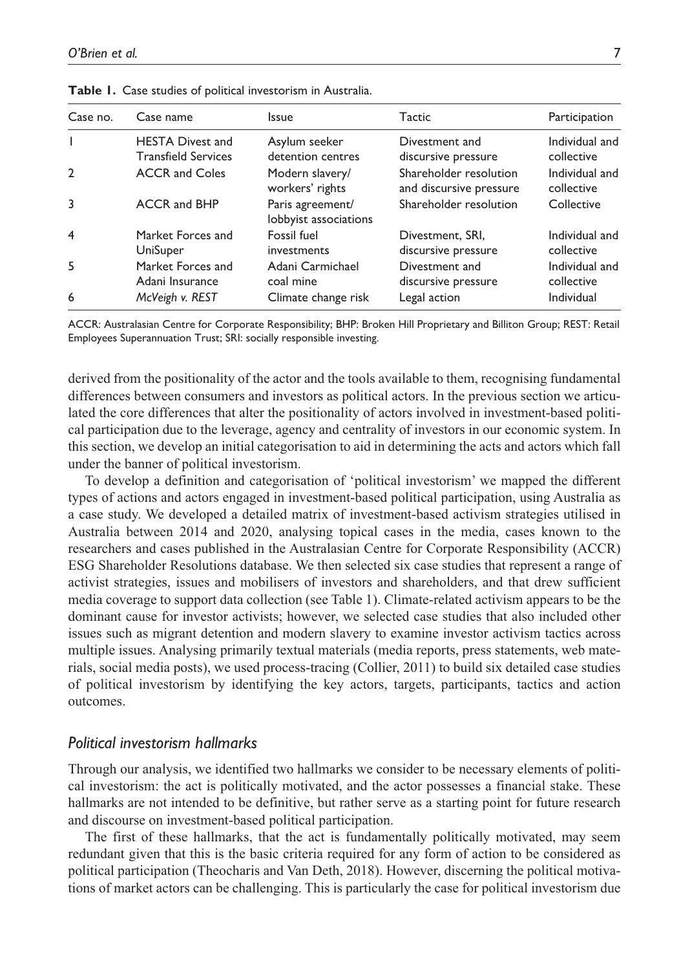| Case no.       | Case name                                             | Issue                                     | Tactic                                            | Participation                |
|----------------|-------------------------------------------------------|-------------------------------------------|---------------------------------------------------|------------------------------|
|                | <b>HESTA Divest and</b><br><b>Transfield Services</b> | Asylum seeker<br>detention centres        | Divestment and<br>discursive pressure             | Individual and<br>collective |
| $\overline{2}$ | <b>ACCR</b> and Coles                                 | Modern slavery/<br>workers' rights        | Shareholder resolution<br>and discursive pressure | Individual and<br>collective |
| 3              | <b>ACCR and BHP</b>                                   | Paris agreement/<br>lobbyist associations | Shareholder resolution                            | Collective                   |
| $\overline{4}$ | Market Forces and<br>UniSuper                         | Fossil fuel<br>investments                | Divestment, SRI,<br>discursive pressure           | Individual and<br>collective |
| -5             | Market Forces and<br>Adani Insurance                  | Adani Carmichael<br>coal mine             | Divestment and<br>discursive pressure             | Individual and<br>collective |
| 6              | McVeigh v. REST                                       | Climate change risk                       | Legal action                                      | Individual                   |

**Table 1.** Case studies of political investorism in Australia.

ACCR: Australasian Centre for Corporate Responsibility; BHP: Broken Hill Proprietary and Billiton Group; REST: Retail Employees Superannuation Trust; SRI: socially responsible investing.

derived from the positionality of the actor and the tools available to them, recognising fundamental differences between consumers and investors as political actors. In the previous section we articulated the core differences that alter the positionality of actors involved in investment-based political participation due to the leverage, agency and centrality of investors in our economic system. In this section, we develop an initial categorisation to aid in determining the acts and actors which fall under the banner of political investorism.

To develop a definition and categorisation of 'political investorism' we mapped the different types of actions and actors engaged in investment-based political participation, using Australia as a case study. We developed a detailed matrix of investment-based activism strategies utilised in Australia between 2014 and 2020, analysing topical cases in the media, cases known to the researchers and cases published in the Australasian Centre for Corporate Responsibility (ACCR) ESG Shareholder Resolutions database. We then selected six case studies that represent a range of activist strategies, issues and mobilisers of investors and shareholders, and that drew sufficient media coverage to support data collection (see Table 1). Climate-related activism appears to be the dominant cause for investor activists; however, we selected case studies that also included other issues such as migrant detention and modern slavery to examine investor activism tactics across multiple issues. Analysing primarily textual materials (media reports, press statements, web materials, social media posts), we used process-tracing (Collier, 2011) to build six detailed case studies of political investorism by identifying the key actors, targets, participants, tactics and action outcomes.

## *Political investorism hallmarks*

Through our analysis, we identified two hallmarks we consider to be necessary elements of political investorism: the act is politically motivated, and the actor possesses a financial stake. These hallmarks are not intended to be definitive, but rather serve as a starting point for future research and discourse on investment-based political participation.

The first of these hallmarks, that the act is fundamentally politically motivated, may seem redundant given that this is the basic criteria required for any form of action to be considered as political participation (Theocharis and Van Deth, 2018). However, discerning the political motivations of market actors can be challenging. This is particularly the case for political investorism due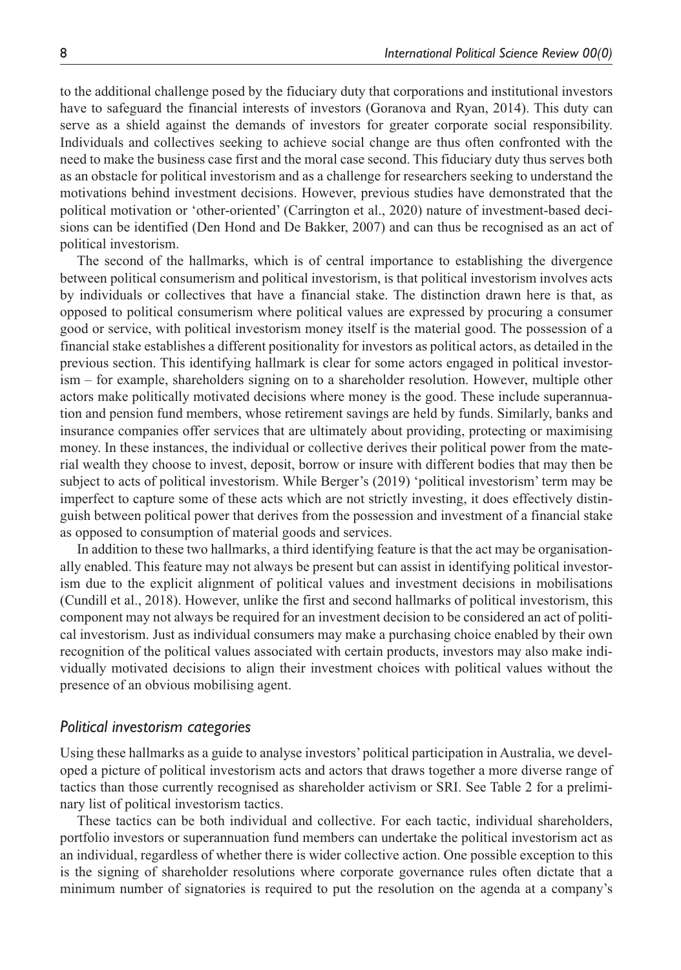to the additional challenge posed by the fiduciary duty that corporations and institutional investors have to safeguard the financial interests of investors (Goranova and Ryan, 2014). This duty can serve as a shield against the demands of investors for greater corporate social responsibility. Individuals and collectives seeking to achieve social change are thus often confronted with the need to make the business case first and the moral case second. This fiduciary duty thus serves both as an obstacle for political investorism and as a challenge for researchers seeking to understand the motivations behind investment decisions. However, previous studies have demonstrated that the political motivation or 'other-oriented' (Carrington et al., 2020) nature of investment-based decisions can be identified (Den Hond and De Bakker, 2007) and can thus be recognised as an act of political investorism.

The second of the hallmarks, which is of central importance to establishing the divergence between political consumerism and political investorism, is that political investorism involves acts by individuals or collectives that have a financial stake. The distinction drawn here is that, as opposed to political consumerism where political values are expressed by procuring a consumer good or service, with political investorism money itself is the material good. The possession of a financial stake establishes a different positionality for investors as political actors, as detailed in the previous section. This identifying hallmark is clear for some actors engaged in political investorism – for example, shareholders signing on to a shareholder resolution. However, multiple other actors make politically motivated decisions where money is the good. These include superannuation and pension fund members, whose retirement savings are held by funds. Similarly, banks and insurance companies offer services that are ultimately about providing, protecting or maximising money. In these instances, the individual or collective derives their political power from the material wealth they choose to invest, deposit, borrow or insure with different bodies that may then be subject to acts of political investorism. While Berger's (2019) 'political investorism' term may be imperfect to capture some of these acts which are not strictly investing, it does effectively distinguish between political power that derives from the possession and investment of a financial stake as opposed to consumption of material goods and services.

In addition to these two hallmarks, a third identifying feature is that the act may be organisationally enabled. This feature may not always be present but can assist in identifying political investorism due to the explicit alignment of political values and investment decisions in mobilisations (Cundill et al., 2018). However, unlike the first and second hallmarks of political investorism, this component may not always be required for an investment decision to be considered an act of political investorism. Just as individual consumers may make a purchasing choice enabled by their own recognition of the political values associated with certain products, investors may also make individually motivated decisions to align their investment choices with political values without the presence of an obvious mobilising agent.

#### *Political investorism categories*

Using these hallmarks as a guide to analyse investors' political participation in Australia, we developed a picture of political investorism acts and actors that draws together a more diverse range of tactics than those currently recognised as shareholder activism or SRI. See Table 2 for a preliminary list of political investorism tactics.

These tactics can be both individual and collective. For each tactic, individual shareholders, portfolio investors or superannuation fund members can undertake the political investorism act as an individual, regardless of whether there is wider collective action. One possible exception to this is the signing of shareholder resolutions where corporate governance rules often dictate that a minimum number of signatories is required to put the resolution on the agenda at a company's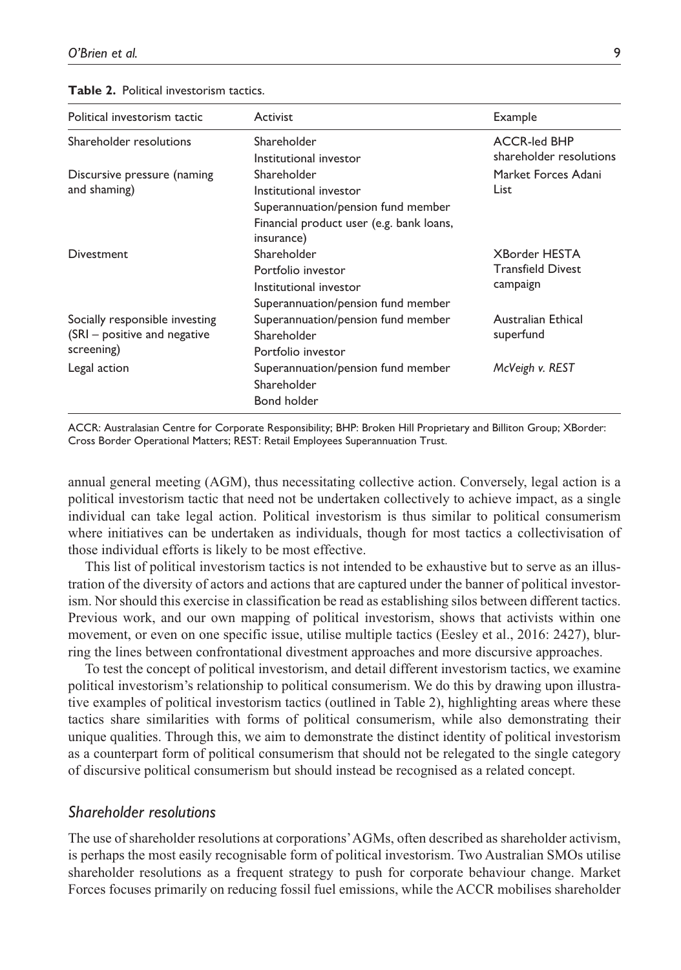|  | <b>Table 2.</b> Political investorism tactics. |  |
|--|------------------------------------------------|--|
|--|------------------------------------------------|--|

| Political investorism tactic   | Activist                                 | Example                  |  |
|--------------------------------|------------------------------------------|--------------------------|--|
| Shareholder resolutions        | Shareholder                              | <b>ACCR-led BHP</b>      |  |
|                                | Institutional investor                   | shareholder resolutions  |  |
| Discursive pressure (naming    | Shareholder                              | Market Forces Adani      |  |
| and shaming)                   | Institutional investor                   | List                     |  |
|                                | Superannuation/pension fund member       |                          |  |
|                                | Financial product user (e.g. bank loans, |                          |  |
|                                | insurance)                               |                          |  |
| Divestment                     | Shareholder                              | <b>XBorder HESTA</b>     |  |
|                                | Portfolio investor                       | <b>Transfield Divest</b> |  |
|                                | Institutional investor                   | campaign                 |  |
|                                | Superannuation/pension fund member       |                          |  |
| Socially responsible investing | Superannuation/pension fund member       | Australian Ethical       |  |
| (SRI - positive and negative   | Shareholder                              | superfund                |  |
| screening)                     | Portfolio investor                       |                          |  |
| Legal action                   | Superannuation/pension fund member       | McVeigh v. REST          |  |
|                                | Shareholder                              |                          |  |
|                                | Bond holder                              |                          |  |

ACCR: Australasian Centre for Corporate Responsibility; BHP: Broken Hill Proprietary and Billiton Group; XBorder: Cross Border Operational Matters; REST: Retail Employees Superannuation Trust.

annual general meeting (AGM), thus necessitating collective action. Conversely, legal action is a political investorism tactic that need not be undertaken collectively to achieve impact, as a single individual can take legal action. Political investorism is thus similar to political consumerism where initiatives can be undertaken as individuals, though for most tactics a collectivisation of those individual efforts is likely to be most effective.

This list of political investorism tactics is not intended to be exhaustive but to serve as an illustration of the diversity of actors and actions that are captured under the banner of political investorism. Nor should this exercise in classification be read as establishing silos between different tactics. Previous work, and our own mapping of political investorism, shows that activists within one movement, or even on one specific issue, utilise multiple tactics (Eesley et al., 2016: 2427), blurring the lines between confrontational divestment approaches and more discursive approaches.

To test the concept of political investorism, and detail different investorism tactics, we examine political investorism's relationship to political consumerism. We do this by drawing upon illustrative examples of political investorism tactics (outlined in Table 2), highlighting areas where these tactics share similarities with forms of political consumerism, while also demonstrating their unique qualities. Through this, we aim to demonstrate the distinct identity of political investorism as a counterpart form of political consumerism that should not be relegated to the single category of discursive political consumerism but should instead be recognised as a related concept.

## *Shareholder resolutions*

The use of shareholder resolutions at corporations' AGMs, often described as shareholder activism, is perhaps the most easily recognisable form of political investorism. Two Australian SMOs utilise shareholder resolutions as a frequent strategy to push for corporate behaviour change. Market Forces focuses primarily on reducing fossil fuel emissions, while the ACCR mobilises shareholder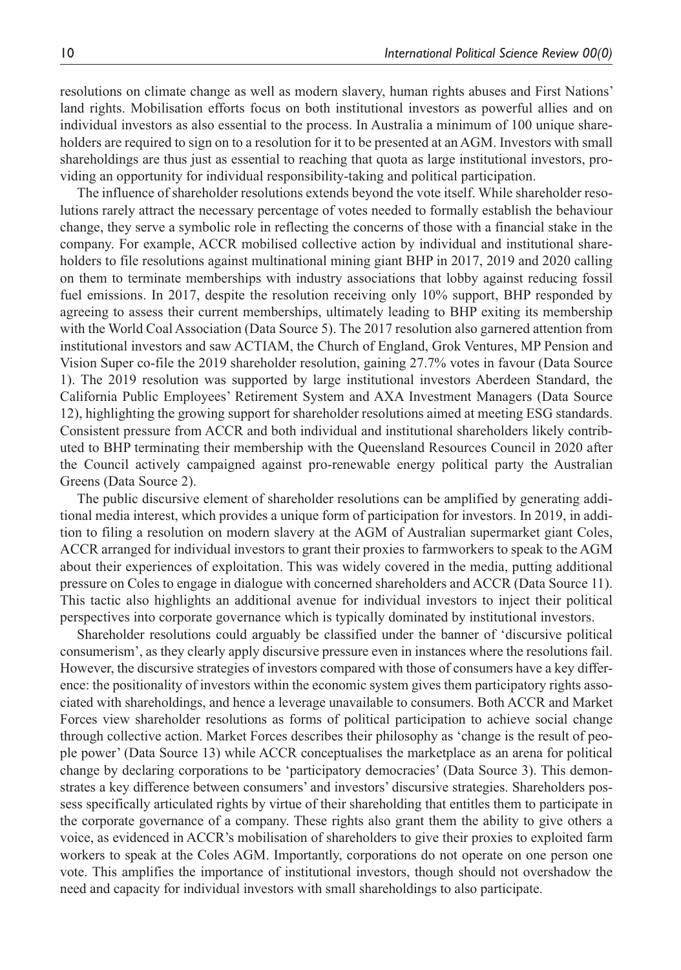resolutions on climate change as well as modern slavery, human rights abuses and First Nations' land rights. Mobilisation efforts focus on both institutional investors as powerful allies and on individual investors as also essential to the process. In Australia a minimum of 100 unique shareholders are required to sign on to a resolution for it to be presented at an AGM. Investors with small shareholdings are thus just as essential to reaching that quota as large institutional investors, providing an opportunity for individual responsibility-taking and political participation.

The influence of shareholder resolutions extends beyond the vote itself. While shareholder resolutions rarely attract the necessary percentage of votes needed to formally establish the behaviour change, they serve a symbolic role in reflecting the concerns of those with a financial stake in the company. For example, ACCR mobilised collective action by individual and institutional shareholders to file resolutions against multinational mining giant BHP in 2017, 2019 and 2020 calling on them to terminate memberships with industry associations that lobby against reducing fossil fuel emissions. In 2017, despite the resolution receiving only 10% support, BHP responded by agreeing to assess their current memberships, ultimately leading to BHP exiting its membership with the World Coal Association (Data Source 5). The 2017 resolution also garnered attention from institutional investors and saw ACTIAM, the Church of England, Grok Ventures, MP Pension and Vision Super co-file the 2019 shareholder resolution, gaining 27.7% votes in favour (Data Source 1). The 2019 resolution was supported by large institutional investors Aberdeen Standard, the California Public Employees' Retirement System and AXA Investment Managers (Data Source 12), highlighting the growing support for shareholder resolutions aimed at meeting ESG standards. Consistent pressure from ACCR and both individual and institutional shareholders likely contributed to BHP terminating their membership with the Queensland Resources Council in 2020 after the Council actively campaigned against pro-renewable energy political party the Australian Greens (Data Source 2).

The public discursive element of shareholder resolutions can be amplified by generating additional media interest, which provides a unique form of participation for investors. In 2019, in addition to filing a resolution on modern slavery at the AGM of Australian supermarket giant Coles, ACCR arranged for individual investors to grant their proxies to farmworkers to speak to the AGM about their experiences of exploitation. This was widely covered in the media, putting additional pressure on Coles to engage in dialogue with concerned shareholders and ACCR (Data Source 11). This tactic also highlights an additional avenue for individual investors to inject their political perspectives into corporate governance which is typically dominated by institutional investors.

Shareholder resolutions could arguably be classified under the banner of 'discursive political consumerism', as they clearly apply discursive pressure even in instances where the resolutions fail. However, the discursive strategies of investors compared with those of consumers have a key difference: the positionality of investors within the economic system gives them participatory rights associated with shareholdings, and hence a leverage unavailable to consumers. Both ACCR and Market Forces view shareholder resolutions as forms of political participation to achieve social change through collective action. Market Forces describes their philosophy as 'change is the result of people power' (Data Source 13) while ACCR conceptualises the marketplace as an arena for political change by declaring corporations to be 'participatory democracies' (Data Source 3). This demonstrates a key difference between consumers' and investors' discursive strategies. Shareholders possess specifically articulated rights by virtue of their shareholding that entitles them to participate in the corporate governance of a company. These rights also grant them the ability to give others a voice, as evidenced in ACCR's mobilisation of shareholders to give their proxies to exploited farm workers to speak at the Coles AGM. Importantly, corporations do not operate on one person one vote. This amplifies the importance of institutional investors, though should not overshadow the need and capacity for individual investors with small shareholdings to also participate.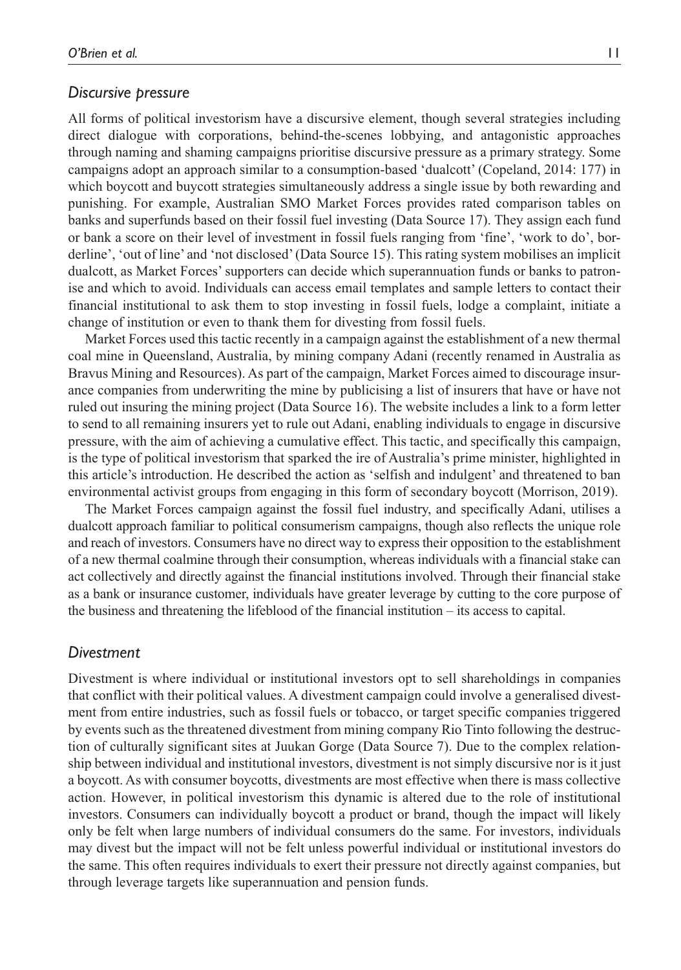#### *Discursive pressure*

All forms of political investorism have a discursive element, though several strategies including direct dialogue with corporations, behind-the-scenes lobbying, and antagonistic approaches through naming and shaming campaigns prioritise discursive pressure as a primary strategy. Some campaigns adopt an approach similar to a consumption-based 'dualcott' (Copeland, 2014: 177) in which boycott and buycott strategies simultaneously address a single issue by both rewarding and punishing. For example, Australian SMO Market Forces provides rated comparison tables on banks and superfunds based on their fossil fuel investing (Data Source 17). They assign each fund or bank a score on their level of investment in fossil fuels ranging from 'fine', 'work to do', borderline', 'out of line' and 'not disclosed' (Data Source 15). This rating system mobilises an implicit dualcott, as Market Forces' supporters can decide which superannuation funds or banks to patronise and which to avoid. Individuals can access email templates and sample letters to contact their financial institutional to ask them to stop investing in fossil fuels, lodge a complaint, initiate a change of institution or even to thank them for divesting from fossil fuels.

Market Forces used this tactic recently in a campaign against the establishment of a new thermal coal mine in Queensland, Australia, by mining company Adani (recently renamed in Australia as Bravus Mining and Resources). As part of the campaign, Market Forces aimed to discourage insurance companies from underwriting the mine by publicising a list of insurers that have or have not ruled out insuring the mining project (Data Source 16). The website includes a link to a form letter to send to all remaining insurers yet to rule out Adani, enabling individuals to engage in discursive pressure, with the aim of achieving a cumulative effect. This tactic, and specifically this campaign, is the type of political investorism that sparked the ire of Australia's prime minister, highlighted in this article's introduction. He described the action as 'selfish and indulgent' and threatened to ban environmental activist groups from engaging in this form of secondary boycott (Morrison, 2019).

The Market Forces campaign against the fossil fuel industry, and specifically Adani, utilises a dualcott approach familiar to political consumerism campaigns, though also reflects the unique role and reach of investors. Consumers have no direct way to express their opposition to the establishment of a new thermal coalmine through their consumption, whereas individuals with a financial stake can act collectively and directly against the financial institutions involved. Through their financial stake as a bank or insurance customer, individuals have greater leverage by cutting to the core purpose of the business and threatening the lifeblood of the financial institution – its access to capital.

## *Divestment*

Divestment is where individual or institutional investors opt to sell shareholdings in companies that conflict with their political values. A divestment campaign could involve a generalised divestment from entire industries, such as fossil fuels or tobacco, or target specific companies triggered by events such as the threatened divestment from mining company Rio Tinto following the destruction of culturally significant sites at Juukan Gorge (Data Source 7). Due to the complex relationship between individual and institutional investors, divestment is not simply discursive nor is it just a boycott. As with consumer boycotts, divestments are most effective when there is mass collective action. However, in political investorism this dynamic is altered due to the role of institutional investors. Consumers can individually boycott a product or brand, though the impact will likely only be felt when large numbers of individual consumers do the same. For investors, individuals may divest but the impact will not be felt unless powerful individual or institutional investors do the same. This often requires individuals to exert their pressure not directly against companies, but through leverage targets like superannuation and pension funds.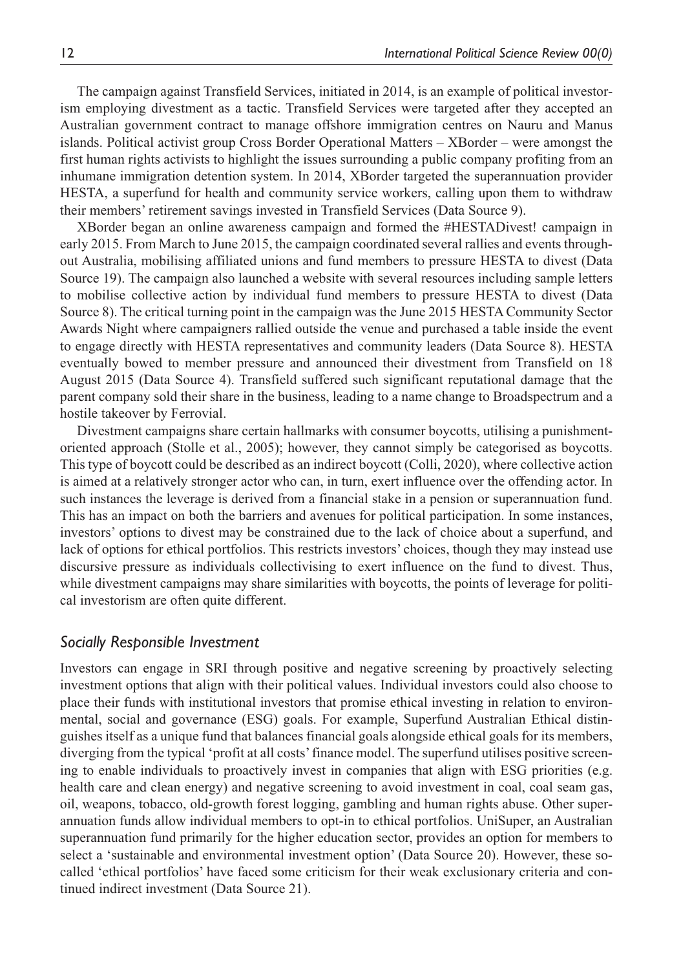The campaign against Transfield Services, initiated in 2014, is an example of political investorism employing divestment as a tactic. Transfield Services were targeted after they accepted an Australian government contract to manage offshore immigration centres on Nauru and Manus islands. Political activist group Cross Border Operational Matters – XBorder – were amongst the first human rights activists to highlight the issues surrounding a public company profiting from an inhumane immigration detention system. In 2014, XBorder targeted the superannuation provider HESTA, a superfund for health and community service workers, calling upon them to withdraw their members' retirement savings invested in Transfield Services (Data Source 9).

XBorder began an online awareness campaign and formed the #HESTADivest! campaign in early 2015. From March to June 2015, the campaign coordinated several rallies and events throughout Australia, mobilising affiliated unions and fund members to pressure HESTA to divest (Data Source 19). The campaign also launched a website with several resources including sample letters to mobilise collective action by individual fund members to pressure HESTA to divest (Data Source 8). The critical turning point in the campaign was the June 2015 HESTA Community Sector Awards Night where campaigners rallied outside the venue and purchased a table inside the event to engage directly with HESTA representatives and community leaders (Data Source 8). HESTA eventually bowed to member pressure and announced their divestment from Transfield on 18 August 2015 (Data Source 4). Transfield suffered such significant reputational damage that the parent company sold their share in the business, leading to a name change to Broadspectrum and a hostile takeover by Ferrovial.

Divestment campaigns share certain hallmarks with consumer boycotts, utilising a punishmentoriented approach (Stolle et al., 2005); however, they cannot simply be categorised as boycotts. This type of boycott could be described as an indirect boycott (Colli, 2020), where collective action is aimed at a relatively stronger actor who can, in turn, exert influence over the offending actor. In such instances the leverage is derived from a financial stake in a pension or superannuation fund. This has an impact on both the barriers and avenues for political participation. In some instances, investors' options to divest may be constrained due to the lack of choice about a superfund, and lack of options for ethical portfolios. This restricts investors' choices, though they may instead use discursive pressure as individuals collectivising to exert influence on the fund to divest. Thus, while divestment campaigns may share similarities with boycotts, the points of leverage for political investorism are often quite different.

# *Socially Responsible Investment*

Investors can engage in SRI through positive and negative screening by proactively selecting investment options that align with their political values. Individual investors could also choose to place their funds with institutional investors that promise ethical investing in relation to environmental, social and governance (ESG) goals. For example, Superfund Australian Ethical distinguishes itself as a unique fund that balances financial goals alongside ethical goals for its members, diverging from the typical 'profit at all costs' finance model. The superfund utilises positive screening to enable individuals to proactively invest in companies that align with ESG priorities (e.g. health care and clean energy) and negative screening to avoid investment in coal, coal seam gas, oil, weapons, tobacco, old-growth forest logging, gambling and human rights abuse. Other superannuation funds allow individual members to opt-in to ethical portfolios. UniSuper, an Australian superannuation fund primarily for the higher education sector, provides an option for members to select a 'sustainable and environmental investment option' (Data Source 20). However, these socalled 'ethical portfolios' have faced some criticism for their weak exclusionary criteria and continued indirect investment (Data Source 21).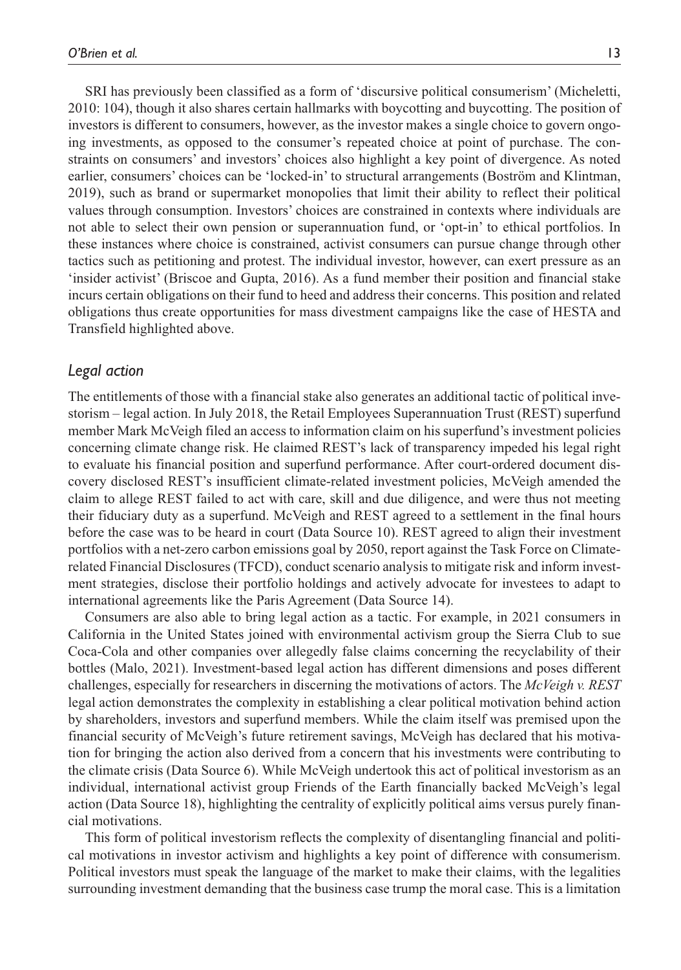SRI has previously been classified as a form of 'discursive political consumerism' (Micheletti, 2010: 104), though it also shares certain hallmarks with boycotting and buycotting. The position of investors is different to consumers, however, as the investor makes a single choice to govern ongoing investments, as opposed to the consumer's repeated choice at point of purchase. The constraints on consumers' and investors' choices also highlight a key point of divergence. As noted earlier, consumers' choices can be 'locked-in' to structural arrangements (Boström and Klintman, 2019), such as brand or supermarket monopolies that limit their ability to reflect their political values through consumption. Investors' choices are constrained in contexts where individuals are not able to select their own pension or superannuation fund, or 'opt-in' to ethical portfolios. In these instances where choice is constrained, activist consumers can pursue change through other tactics such as petitioning and protest. The individual investor, however, can exert pressure as an 'insider activist' (Briscoe and Gupta, 2016). As a fund member their position and financial stake incurs certain obligations on their fund to heed and address their concerns. This position and related obligations thus create opportunities for mass divestment campaigns like the case of HESTA and Transfield highlighted above.

# *Legal action*

The entitlements of those with a financial stake also generates an additional tactic of political investorism – legal action. In July 2018, the Retail Employees Superannuation Trust (REST) superfund member Mark McVeigh filed an access to information claim on his superfund's investment policies concerning climate change risk. He claimed REST's lack of transparency impeded his legal right to evaluate his financial position and superfund performance. After court-ordered document discovery disclosed REST's insufficient climate-related investment policies, McVeigh amended the claim to allege REST failed to act with care, skill and due diligence, and were thus not meeting their fiduciary duty as a superfund. McVeigh and REST agreed to a settlement in the final hours before the case was to be heard in court (Data Source 10). REST agreed to align their investment portfolios with a net-zero carbon emissions goal by 2050, report against the Task Force on Climaterelated Financial Disclosures (TFCD), conduct scenario analysis to mitigate risk and inform investment strategies, disclose their portfolio holdings and actively advocate for investees to adapt to international agreements like the Paris Agreement (Data Source 14).

Consumers are also able to bring legal action as a tactic. For example, in 2021 consumers in California in the United States joined with environmental activism group the Sierra Club to sue Coca-Cola and other companies over allegedly false claims concerning the recyclability of their bottles (Malo, 2021). Investment-based legal action has different dimensions and poses different challenges, especially for researchers in discerning the motivations of actors. The *McVeigh v. REST* legal action demonstrates the complexity in establishing a clear political motivation behind action by shareholders, investors and superfund members. While the claim itself was premised upon the financial security of McVeigh's future retirement savings, McVeigh has declared that his motivation for bringing the action also derived from a concern that his investments were contributing to the climate crisis (Data Source 6). While McVeigh undertook this act of political investorism as an individual, international activist group Friends of the Earth financially backed McVeigh's legal action (Data Source 18), highlighting the centrality of explicitly political aims versus purely financial motivations.

This form of political investorism reflects the complexity of disentangling financial and political motivations in investor activism and highlights a key point of difference with consumerism. Political investors must speak the language of the market to make their claims, with the legalities surrounding investment demanding that the business case trump the moral case. This is a limitation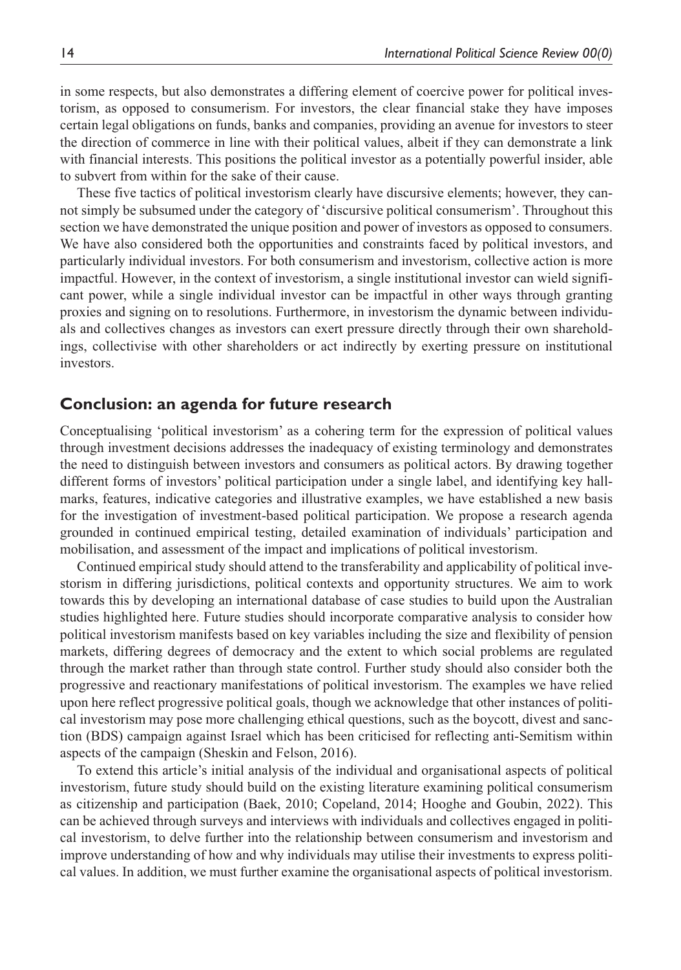in some respects, but also demonstrates a differing element of coercive power for political investorism, as opposed to consumerism. For investors, the clear financial stake they have imposes certain legal obligations on funds, banks and companies, providing an avenue for investors to steer the direction of commerce in line with their political values, albeit if they can demonstrate a link with financial interests. This positions the political investor as a potentially powerful insider, able to subvert from within for the sake of their cause.

These five tactics of political investorism clearly have discursive elements; however, they cannot simply be subsumed under the category of 'discursive political consumerism'. Throughout this section we have demonstrated the unique position and power of investors as opposed to consumers. We have also considered both the opportunities and constraints faced by political investors, and particularly individual investors. For both consumerism and investorism, collective action is more impactful. However, in the context of investorism, a single institutional investor can wield significant power, while a single individual investor can be impactful in other ways through granting proxies and signing on to resolutions. Furthermore, in investorism the dynamic between individuals and collectives changes as investors can exert pressure directly through their own shareholdings, collectivise with other shareholders or act indirectly by exerting pressure on institutional investors.

# **Conclusion: an agenda for future research**

Conceptualising 'political investorism' as a cohering term for the expression of political values through investment decisions addresses the inadequacy of existing terminology and demonstrates the need to distinguish between investors and consumers as political actors. By drawing together different forms of investors' political participation under a single label, and identifying key hallmarks, features, indicative categories and illustrative examples, we have established a new basis for the investigation of investment-based political participation. We propose a research agenda grounded in continued empirical testing, detailed examination of individuals' participation and mobilisation, and assessment of the impact and implications of political investorism.

Continued empirical study should attend to the transferability and applicability of political investorism in differing jurisdictions, political contexts and opportunity structures. We aim to work towards this by developing an international database of case studies to build upon the Australian studies highlighted here. Future studies should incorporate comparative analysis to consider how political investorism manifests based on key variables including the size and flexibility of pension markets, differing degrees of democracy and the extent to which social problems are regulated through the market rather than through state control. Further study should also consider both the progressive and reactionary manifestations of political investorism. The examples we have relied upon here reflect progressive political goals, though we acknowledge that other instances of political investorism may pose more challenging ethical questions, such as the boycott, divest and sanction (BDS) campaign against Israel which has been criticised for reflecting anti-Semitism within aspects of the campaign (Sheskin and Felson, 2016).

To extend this article's initial analysis of the individual and organisational aspects of political investorism, future study should build on the existing literature examining political consumerism as citizenship and participation (Baek, 2010; Copeland, 2014; Hooghe and Goubin, 2022). This can be achieved through surveys and interviews with individuals and collectives engaged in political investorism, to delve further into the relationship between consumerism and investorism and improve understanding of how and why individuals may utilise their investments to express political values. In addition, we must further examine the organisational aspects of political investorism.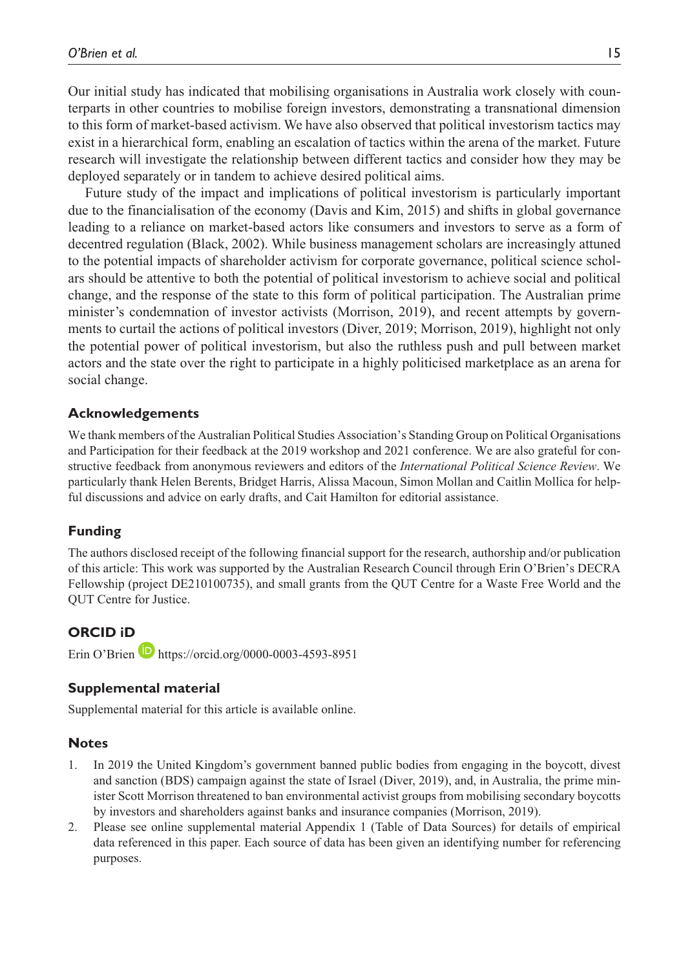Our initial study has indicated that mobilising organisations in Australia work closely with counterparts in other countries to mobilise foreign investors, demonstrating a transnational dimension to this form of market-based activism. We have also observed that political investorism tactics may exist in a hierarchical form, enabling an escalation of tactics within the arena of the market. Future research will investigate the relationship between different tactics and consider how they may be deployed separately or in tandem to achieve desired political aims.

Future study of the impact and implications of political investorism is particularly important due to the financialisation of the economy (Davis and Kim, 2015) and shifts in global governance leading to a reliance on market-based actors like consumers and investors to serve as a form of decentred regulation (Black, 2002). While business management scholars are increasingly attuned to the potential impacts of shareholder activism for corporate governance, political science scholars should be attentive to both the potential of political investorism to achieve social and political change, and the response of the state to this form of political participation. The Australian prime minister's condemnation of investor activists (Morrison, 2019), and recent attempts by governments to curtail the actions of political investors (Diver, 2019; Morrison, 2019), highlight not only the potential power of political investorism, but also the ruthless push and pull between market actors and the state over the right to participate in a highly politicised marketplace as an arena for social change.

#### **Acknowledgements**

We thank members of the Australian Political Studies Association's Standing Group on Political Organisations and Participation for their feedback at the 2019 workshop and 2021 conference. We are also grateful for constructive feedback from anonymous reviewers and editors of the *International Political Science Review*. We particularly thank Helen Berents, Bridget Harris, Alissa Macoun, Simon Mollan and Caitlin Mollica for helpful discussions and advice on early drafts, and Cait Hamilton for editorial assistance.

#### **Funding**

The authors disclosed receipt of the following financial support for the research, authorship and/or publication of this article: This work was supported by the Australian Research Council through Erin O'Brien's DECRA Fellowship (project DE210100735), and small grants from the QUT Centre for a Waste Free World and the QUT Centre for Justice.

#### **ORCID iD**

Erin O'Brien  $\blacksquare$  <https://orcid.org/0000-0003-4593-8951>

#### **Supplemental material**

Supplemental material for this article is available online.

#### **Notes**

- 1. In 2019 the United Kingdom's government banned public bodies from engaging in the boycott, divest and sanction (BDS) campaign against the state of Israel (Diver, 2019), and, in Australia, the prime minister Scott Morrison threatened to ban environmental activist groups from mobilising secondary boycotts by investors and shareholders against banks and insurance companies (Morrison, 2019).
- 2. Please see online supplemental material Appendix 1 (Table of Data Sources) for details of empirical data referenced in this paper. Each source of data has been given an identifying number for referencing purposes.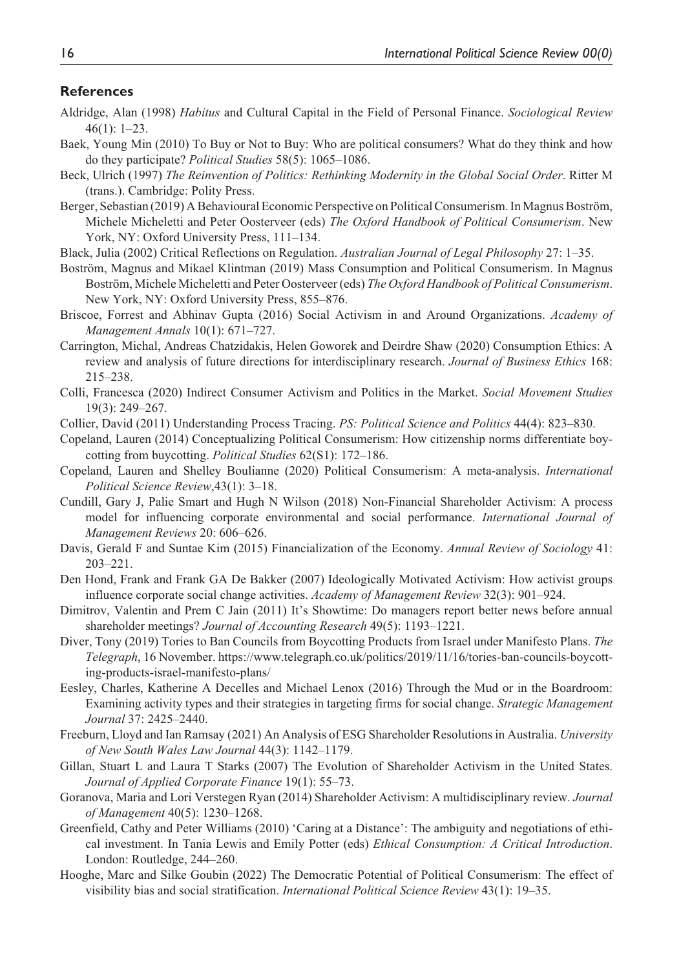## **References**

- Aldridge, Alan (1998) *Habitus* and Cultural Capital in the Field of Personal Finance. *Sociological Review* 46(1): 1–23.
- Baek, Young Min (2010) To Buy or Not to Buy: Who are political consumers? What do they think and how do they participate? *Political Studies* 58(5): 1065–1086.
- Beck, Ulrich (1997) *The Reinvention of Politics: Rethinking Modernity in the Global Social Order*. Ritter M (trans.). Cambridge: Polity Press.
- Berger, Sebastian (2019) A Behavioural Economic Perspective on Political Consumerism. In Magnus Boström, Michele Micheletti and Peter Oosterveer (eds) *The Oxford Handbook of Political Consumerism*. New York, NY: Oxford University Press, 111–134.
- Black, Julia (2002) Critical Reflections on Regulation. *Australian Journal of Legal Philosophy* 27: 1–35.
- Boström, Magnus and Mikael Klintman (2019) Mass Consumption and Political Consumerism. In Magnus Boström, Michele Micheletti and Peter Oosterveer (eds) *The Oxford Handbook of Political Consumerism*. New York, NY: Oxford University Press, 855–876.
- Briscoe, Forrest and Abhinav Gupta (2016) Social Activism in and Around Organizations. *Academy of Management Annals* 10(1): 671–727.
- Carrington, Michal, Andreas Chatzidakis, Helen Goworek and Deirdre Shaw (2020) Consumption Ethics: A review and analysis of future directions for interdisciplinary research. *Journal of Business Ethics* 168: 215–238.
- Colli, Francesca (2020) Indirect Consumer Activism and Politics in the Market. *Social Movement Studies* 19(3): 249–267.
- Collier, David (2011) Understanding Process Tracing. *PS: Political Science and Politics* 44(4): 823–830.
- Copeland, Lauren (2014) Conceptualizing Political Consumerism: How citizenship norms differentiate boycotting from buycotting. *Political Studies* 62(S1): 172–186.
- Copeland, Lauren and Shelley Boulianne (2020) Political Consumerism: A meta-analysis. *International Political Science Review*,43(1): 3–18.
- Cundill, Gary J, Palie Smart and Hugh N Wilson (2018) Non-Financial Shareholder Activism: A process model for influencing corporate environmental and social performance. *International Journal of Management Reviews* 20: 606–626.
- Davis, Gerald F and Suntae Kim (2015) Financialization of the Economy. *Annual Review of Sociology* 41: 203–221.
- Den Hond, Frank and Frank GA De Bakker (2007) Ideologically Motivated Activism: How activist groups influence corporate social change activities. *Academy of Management Review* 32(3): 901–924.
- Dimitrov, Valentin and Prem C Jain (2011) It's Showtime: Do managers report better news before annual shareholder meetings? *Journal of Accounting Research* 49(5): 1193–1221.
- Diver, Tony (2019) Tories to Ban Councils from Boycotting Products from Israel under Manifesto Plans. *The Telegraph*, 16 November. [https://www.telegraph.co.uk/politics/2019/11/16/tories-ban-councils-boycott](https://www.telegraph.co.uk/politics/2019/11/16/tories-ban-councils-boycotting-products-israel-manifesto-plans/)[ing-products-israel-manifesto-plans/](https://www.telegraph.co.uk/politics/2019/11/16/tories-ban-councils-boycotting-products-israel-manifesto-plans/)
- Eesley, Charles, Katherine A Decelles and Michael Lenox (2016) Through the Mud or in the Boardroom: Examining activity types and their strategies in targeting firms for social change. *Strategic Management Journal* 37: 2425–2440.
- Freeburn, Lloyd and Ian Ramsay (2021) An Analysis of ESG Shareholder Resolutions in Australia. *University of New South Wales Law Journal* 44(3): 1142–1179.
- Gillan, Stuart L and Laura T Starks (2007) The Evolution of Shareholder Activism in the United States. *Journal of Applied Corporate Finance* 19(1): 55–73.
- Goranova, Maria and Lori Verstegen Ryan (2014) Shareholder Activism: A multidisciplinary review. *Journal of Management* 40(5): 1230–1268.
- Greenfield, Cathy and Peter Williams (2010) 'Caring at a Distance': The ambiguity and negotiations of ethical investment. In Tania Lewis and Emily Potter (eds) *Ethical Consumption: A Critical Introduction*. London: Routledge, 244–260.
- Hooghe, Marc and Silke Goubin (2022) The Democratic Potential of Political Consumerism: The effect of visibility bias and social stratification. *International Political Science Review* 43(1): 19–35.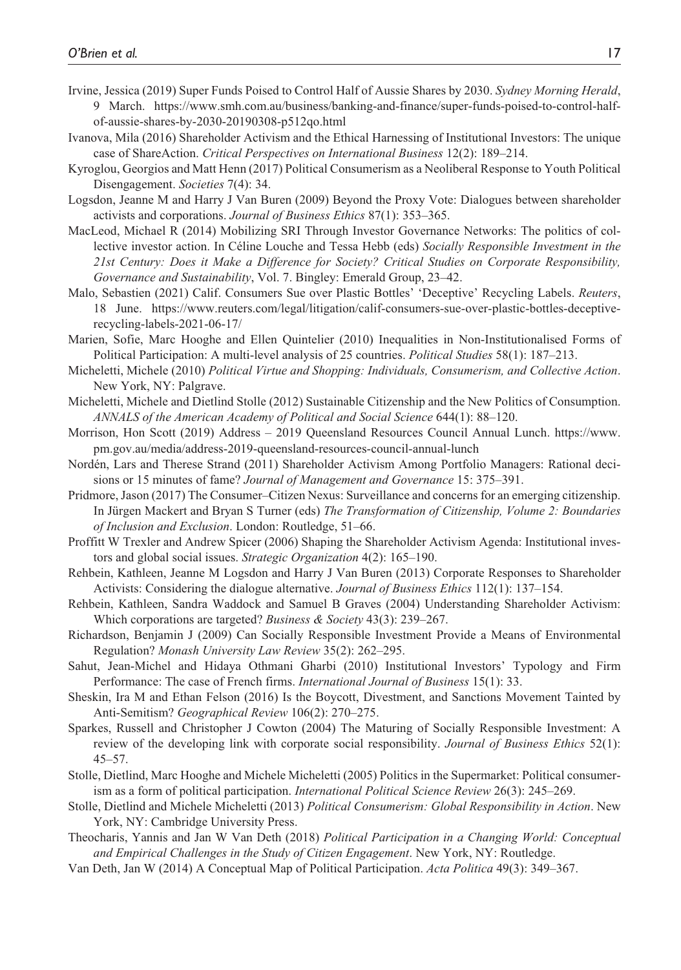- Irvine, Jessica (2019) Super Funds Poised to Control Half of Aussie Shares by 2030. *Sydney Morning Herald*, 9 March. [https://www.smh.com.au/business/banking-and-finance/super-funds-poised-to-control-half](https://www.smh.com.au/business/banking-and-finance/super-funds-poised-to-control-half-of-aussie-shares-by-2030-20190308-p512qo.html)[of-aussie-shares-by-2030-20190308-p512qo.html](https://www.smh.com.au/business/banking-and-finance/super-funds-poised-to-control-half-of-aussie-shares-by-2030-20190308-p512qo.html)
- Ivanova, Mila (2016) Shareholder Activism and the Ethical Harnessing of Institutional Investors: The unique case of ShareAction. *Critical Perspectives on International Business* 12(2): 189–214.
- Kyroglou, Georgios and Matt Henn (2017) Political Consumerism as a Neoliberal Response to Youth Political Disengagement. *Societies* 7(4): 34.
- Logsdon, Jeanne M and Harry J Van Buren (2009) Beyond the Proxy Vote: Dialogues between shareholder activists and corporations. *Journal of Business Ethics* 87(1): 353–365.
- MacLeod, Michael R (2014) Mobilizing SRI Through Investor Governance Networks: The politics of collective investor action. In Céline Louche and Tessa Hebb (eds) *Socially Responsible Investment in the 21st Century: Does it Make a Difference for Society? Critical Studies on Corporate Responsibility, Governance and Sustainability*, Vol. 7. Bingley: Emerald Group, 23–42.
- Malo, Sebastien (2021) Calif. Consumers Sue over Plastic Bottles' 'Deceptive' Recycling Labels. *Reuters*, 18 June. [https://www.reuters.com/legal/litigation/calif-consumers-sue-over-plastic-bottles-deceptive](https://www.reuters.com/legal/litigation/calif-consumers-sue-over-plastic-bottles-deceptive-recycling-labels-2021-06-17/)[recycling-labels-2021-06-17/](https://www.reuters.com/legal/litigation/calif-consumers-sue-over-plastic-bottles-deceptive-recycling-labels-2021-06-17/)
- Marien, Sofie, Marc Hooghe and Ellen Quintelier (2010) Inequalities in Non-Institutionalised Forms of Political Participation: A multi-level analysis of 25 countries. *Political Studies* 58(1): 187–213.
- Micheletti, Michele (2010) *Political Virtue and Shopping: Individuals, Consumerism, and Collective Action*. New York, NY: Palgrave.
- Micheletti, Michele and Dietlind Stolle (2012) Sustainable Citizenship and the New Politics of Consumption. *ANNALS of the American Academy of Political and Social Science* 644(1): 88–120.
- Morrison, Hon Scott (2019) Address 2019 Queensland Resources Council Annual Lunch. [https://www.](https://www.pm.gov.au/media/address-2019-queensland-resources-council-annual-lunch) [pm.gov.au/media/address-2019-queensland-resources-council-annual-lunch](https://www.pm.gov.au/media/address-2019-queensland-resources-council-annual-lunch)
- Nordén, Lars and Therese Strand (2011) Shareholder Activism Among Portfolio Managers: Rational decisions or 15 minutes of fame? *Journal of Management and Governance* 15: 375–391.
- Pridmore, Jason (2017) The Consumer–Citizen Nexus: Surveillance and concerns for an emerging citizenship. In Jürgen Mackert and Bryan S Turner (eds) *The Transformation of Citizenship, Volume 2: Boundaries of Inclusion and Exclusion*. London: Routledge, 51–66.
- Proffitt W Trexler and Andrew Spicer (2006) Shaping the Shareholder Activism Agenda: Institutional investors and global social issues. *Strategic Organization* 4(2): 165–190.
- Rehbein, Kathleen, Jeanne M Logsdon and Harry J Van Buren (2013) Corporate Responses to Shareholder Activists: Considering the dialogue alternative. *Journal of Business Ethics* 112(1): 137–154.
- Rehbein, Kathleen, Sandra Waddock and Samuel B Graves (2004) Understanding Shareholder Activism: Which corporations are targeted? *Business & Society* 43(3): 239–267.
- Richardson, Benjamin J (2009) Can Socially Responsible Investment Provide a Means of Environmental Regulation? *Monash University Law Review* 35(2): 262–295.
- Sahut, Jean-Michel and Hidaya Othmani Gharbi (2010) Institutional Investors' Typology and Firm Performance: The case of French firms. *International Journal of Business* 15(1): 33.
- Sheskin, Ira M and Ethan Felson (2016) Is the Boycott, Divestment, and Sanctions Movement Tainted by Anti-Semitism? *Geographical Review* 106(2): 270–275.
- Sparkes, Russell and Christopher J Cowton (2004) The Maturing of Socially Responsible Investment: A review of the developing link with corporate social responsibility. *Journal of Business Ethics* 52(1): 45–57.
- Stolle, Dietlind, Marc Hooghe and Michele Micheletti (2005) Politics in the Supermarket: Political consumerism as a form of political participation. *International Political Science Review* 26(3): 245–269.
- Stolle, Dietlind and Michele Micheletti (2013) *Political Consumerism: Global Responsibility in Action*. New York, NY: Cambridge University Press.
- Theocharis, Yannis and Jan W Van Deth (2018) *Political Participation in a Changing World: Conceptual and Empirical Challenges in the Study of Citizen Engagement*. New York, NY: Routledge.
- Van Deth, Jan W (2014) A Conceptual Map of Political Participation. *Acta Politica* 49(3): 349–367.